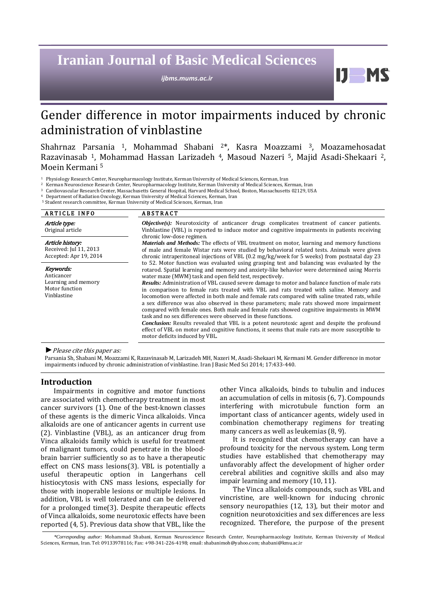# **Iranian Journal of Basic Medical Sciences**

*ijbms.mums.ac.ir*

Ш

# Gender difference in motor impairments induced by chronic administration of vinblastine

Shahrnaz Parsania 1, Mohammad Shabani 2\*, Kasra Moazzami 3, Moazamehosadat Razavinasab 1, Mohammad Hassan Larizadeh 4, Masoud Nazeri 5, Majid Asadi-Shekaari 2, Moein Kermani 5

<sup>1</sup> Physiology Research Center, Neuropharmacology Institute, Kerman University of Medical Sciences, Kerman, Iran

Cardiovascular Research Center, Massachusetts General Hospital, Harvard Medical School, Boston, Massachusetts 02129, USA

<sup>4</sup> Department of Radiation Oncology, Kerman University of Medical Sciences, Kerman, Iran

5 Student research committee, Kerman University of Medical Sciences, Kerman, Iran

| <b>ARTICLE INFO</b>                                                             | <b>ABSTRACT</b>                                                                                                                                                                                                                                                                                                                                                                                                                                                                                                                                                                                                                                                                                                                                                                                                                                                                                                                                                                                                                                                |
|---------------------------------------------------------------------------------|----------------------------------------------------------------------------------------------------------------------------------------------------------------------------------------------------------------------------------------------------------------------------------------------------------------------------------------------------------------------------------------------------------------------------------------------------------------------------------------------------------------------------------------------------------------------------------------------------------------------------------------------------------------------------------------------------------------------------------------------------------------------------------------------------------------------------------------------------------------------------------------------------------------------------------------------------------------------------------------------------------------------------------------------------------------|
| Article type:<br>Original article                                               | $Objective(s)$ : Neurotoxicity of anticancer drugs complicates treatment of cancer patients.<br>Vinblastine (VBL) is reported to induce motor and cognitive impairments in patients receiving<br>chronic low-dose regimen.                                                                                                                                                                                                                                                                                                                                                                                                                                                                                                                                                                                                                                                                                                                                                                                                                                     |
| Article history:<br>Received: Jul 11, 2013<br>Accepted: Apr 19, 2014            | <b>Materials and Methods:</b> The effects of VBL treatment on motor, learning and memory functions<br>of male and female Wistar rats were studied by behavioral related tests. Animals were given<br>chronic intraperitoneal injections of VBL (0.2 mg/kg/week for 5 weeks) from postnatal day 23                                                                                                                                                                                                                                                                                                                                                                                                                                                                                                                                                                                                                                                                                                                                                              |
| Keywords:<br>Anticancer<br>Learning and memory<br>Motor function<br>Vinblastine | to 52. Motor function was evaluated using grasping test and balancing was evaluated by the<br>rotarod. Spatial learning and memory and anxiety-like behavior were determined using Morris<br>water maze (MWM) task and open field test, respectively.<br><b>Results:</b> Administration of VBL caused severe damage to motor and balance function of male rats<br>in comparison to female rats treated with VBL and rats treated with saline. Memory and<br>locomotion were affected in both male and female rats compared with saline treated rats, while<br>a sex difference was also observed in these parameters; male rats showed more impairment<br>compared with female ones. Both male and female rats showed cognitive impairments in MWM<br>task and no sex differences were observed in these functions.<br><b>Conclusion:</b> Results revealed that VBL is a potent neurotoxic agent and despite the profound<br>effect of VBL on motor and cognitive functions, it seems that male rats are more susceptible to<br>motor deficits induced by VBL. |

*►*Please cite this paper as:

Parsania Sh, Shabani M, Moazzami K, Razavinasab M, Larizadeh MH, Nazeri M, Asadi-Shekaari M, Kermani M. Gender difference in motor impairments induced by chronic administration of vinblastine. Iran J Basic Med Sci 2014; 17:433-440.

## **Introduction**

Impairments in cognitive and motor functions are associated with chemotherapy treatment in most cancer survivors (1). One of the best-known classes of these agents is the dimeric Vinca alkaloids. Vinca alkaloids are one of anticancer agents in current use (2). Vinblastine (VBL), as an anticancer drug from Vinca alkaloids family which is useful for treatment of malignant tumors, could penetrate in the bloodbrain barrier sufficiently so as to have a therapeutic effect on CNS mass lesions(3). VBL is potentially a useful therapeutic option in Langerhans cell histiocytosis with CNS mass lesions, especially for those with inoperable lesions or multiple lesions. In addition, VBL is well tolerated and can be delivered for a prolonged time(3). Despite therapeutic effects of Vinca alkaloids, some neurotoxic effects have been reported (4, 5). Previous data show that VBL, like the other Vinca alkaloids, binds to tubulin and induces an accumulation of cells in mitosis (6, 7). Compounds interfering with microtubule function form an important class of anticancer agents, widely used in combination chemotherapy regimens for treating many cancers as well as leukemias (8, 9).

It is recognized that chemotherapy can have a profound toxicity for the nervous system. Long term studies have established that chemotherapy may unfavorably affect the development of higher order cerebral abilities and cognitive skills and also may impair learning and memory (10, 11).

The Vinca alkaloids compounds, such as VBL and vincristine, are well-known for inducing chronic sensory neuropathies (12, 13), but their motor and cognition neurotoxicities and sex differences are less recognized. Therefore, the purpose of the present

*<sup>\*</sup>Corresponding author:* Mohammad Shabani, Kerman Neuroscience Research Center, Neuropharmacology Institute, Kerman University of Medical Sciences, Kerman, Iran. Tel: 09133978116; Fax: +98-341-226-4198; email: shabanimoh@yahoo.com[; shabani@kmu.ac.ir](mailto:shabani@kmu.ac.ir)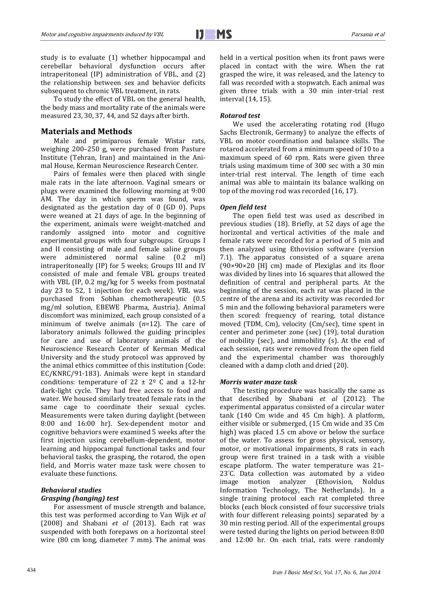study is to evaluate (1) whether hippocampal and cerebellar behavioral dysfunction occurs after intraperitoneal (IP) administration of VBL, and (2) the relationship between sex and behavior deficits subsequent to chronic VBL treatment, in rats.

To study the effect of VBL on the general health, the body mass and mortality rate of the animals were measured 23, 30, 37, 44, and 52 days after birth.

## **Materials and Methods**

Male and primiparous female Wistar rats, weighing 200–250 g, were purchased from Pasture Institute (Tehran, Iran) and maintained in the Animal House, Kerman Neuroscience Research Center.

Pairs of females were then placed with single male rats in the late afternoon. Vaginal smears or plugs were examined the following morning at 9:00 AM. The day in which sperm was found, was designated as the gestation day of 0 (GD 0). Pups were weaned at 21 days of age. In the beginning of the experiment, animals were weight-matched and randomly assigned into motor and cognitive experimental groups with four subgroups: Groups I and II consisting of male and female saline groups were administered normal saline (0.2 ml) intraperitoneally (IP) for 5 weeks; Groups III and IV consisted of male and female VBL groups treated with VBL (IP, 0.2 mg/kg for 5 weeks from postnatal day 23 to 52, 1 injection for each week). VBL was purchased from Sobhan chemotherapeutic (0.5 mg/ml solution, EBEWE Pharma, Austria). Animal discomfort was minimized, each group consisted of a minimum of twelve animals (*n*=12). The care of laboratory animals followed the guiding principles for care and use of laboratory animals of the Neuroscience Research Center of Kerman Medical University and the study protocol was approved by the animal ethics committee of this institution (Code: EC/KNRC/91-183). Animals were kept in standard conditions: temperature of  $22 \pm 2^{\circ}$  C and a 12-hr dark-light cycle. They had free access to food and water. We housed similarly treated female rats in the same cage to coordinate their sexual cycles. Measurements were taken during daylight (between 8:00 and 16:00 hr). Sex-dependent motor and cognitive behaviors were examined 5 weeks after the first injection using cerebellum-dependent, motor learning and hippocampal functional tasks and four behavioral tasks, the grasping, the rotarod, the open field, and Morris water maze task were chosen to evaluate these functions.

#### *Behavioral studies Grasping (hanging) test*

For assessment of muscle strength and balance, this test was performed according to Van Wijk *et al* (2008) and Shabani *et al* (2013). Each rat was suspended with both forepaws on a horizontal steel wire (80 cm long, diameter 7 mm). The animal was held in a vertical position when its front paws were placed in contact with the wire. When the rat grasped the wire, it was released, and the latency to fall was recorded with a stopwatch. Each animal was given three trials with a 30 min inter-trial rest interval (14, 15).

#### *Rotarod test*

We used the accelerating rotating rod (Hugo Sachs Electronik, Germany) to analyze the effects of VBL on motor coordination and balance skills. The rotarod accelerated from a minimum speed of 10 to a maximum speed of 60 rpm. Rats were given three trials using maximum time of 300 sec with a 30 min inter-trial rest interval. The length of time each animal was able to maintain its balance walking on top of the moving rod was recorded (16, 17).

#### *Open field test*

The open field test was used as described in previous studies (18). Briefly, at 52 days of age the horizontal and vertical activities of the male and female rats were recorded for a period of 5 min and then analyzed using Ethovision software (version 7.1). The apparatus consisted of a square arena (90×90×20 [H] cm) made of Plexiglas and its floor was divided by lines into 16 squares that allowed the definition of central and peripheral parts. At the beginning of the session, each rat was placed in the centre of the arena and its activity was recorded for 5 min and the following behavioral parameters were then scored: frequency of rearing, total distance moved (TDM, Cm), velocity (Cm/sec), time spent in center and perimeter zone (sec) (19), total duration of mobility (sec), and immobility (s). At the end of each session, rats were removed from the open field and the experimental chamber was thoroughly cleaned with a damp cloth and dried (20).

#### *Morris water maze task*

The testing procedure was basically the same as that described by Shabani *et al* (2012). The experimental apparatus consisted of a circular water tank (140 Cm wide and 45 Cm high). A platform, either visible or submerged, (15 Cm wide and 35 Cm high) was placed 1.5 cm above or below the surface of the water. To assess for gross physical, sensory, motor, or motivational impairments, 8 rats in each group were first trained in a task with a visible escape platform. The water temperature was 21– 23° C. Data collection was automated by a video image motion analyzer (Ethovision, Noldus Information Technology, The Netherlands). In a single training protocol each rat completed three blocks (each block consisted of four successive trials with four different releasing points) separated by a 30 min resting period. All of the experimental groups were tested during the lights on period between 8:00 and 12:00 hr. On each trial, rats were randomly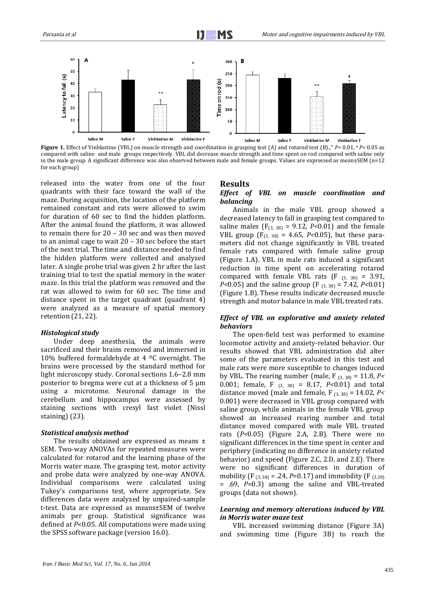

**Figure 1.** Effect of Vinblastine (VBL) on muscle strength and coordination in grasping test (A) and rotarod test (B).,\*\* *P<* 0.01, **<sup>×</sup>** *P<* 0.05 as compared with saline and male groups respectively. VBL did decrease muscle strength and time spent on rod compared with saline only in the male group. A significant difference was also observed between male and female groups. Values are expressed as mean±SEM (n=12 for each group)

released into the water from one of the four quadrants with their face toward the wall of the maze. During acquisition, the location of the platform remained constant and rats were allowed to swim for duration of 60 sec to find the hidden platform. After the animal found the platform, it was allowed to remain there for 20 – 30 sec and was then moved to an animal cage to wait 20 – 30 sec before the start of the next trial. The time and distance needed to find the hidden platform were collected and analyzed later. A single probe trial was given 2 hr after the last training trial to test the spatial memory in the water maze. In this trial the platform was removed and the rat was allowed to swim for 60 sec. The time and distance spent in the target quadrant (quadrant 4) were analyzed as a measure of spatial memory retention (21, 22).

#### *Histological study*

Under deep anesthesia, the animals were sacrificed and their brains removed and immersed in 10% buffered formaldehyde at 4  $°C$  overnight. The brains were processed by the standard method for light microscopy study. Coronal sections 1.6–2.8 mm posterior to bregma were cut at a thickness of  $5 \mu m$ using a microtome. Neuronal damage in the cerebellum and hippocampus were assessed by staining sections with cresyl fast violet (Nissl staining) (23).

#### *Statistical analysis method*

The results obtained are expressed as means  $\pm$ SEM. Two-way ANOVAs for repeated measures were calculated for rotarod and the learning phase of the Morris water maze. The grasping test, motor activity and probe data were analyzed by one-way ANOVA. Individual comparisons were calculated using Tukey's comparisons test, where appropriate. Sex differences data were analyzed by unpaired-sample t-test. Data are expressed as means±SEM of twelve animals per group. Statistical significance was defined at *P*<0.05. All computations were made using the SPSS software package (version 16.0).

#### **Results**

## *Effect of VBL on muscle coordination and balancing*

Animals in the male VBL group showed a decreased latency to fall in grasping test compared to saline males  $(F_{(3, 38)} = 9.12, P<0.01)$  and the female VBL group (F(3, 38) = 4.65, *P<*0.05), but these parameters did not change significantly in VBL treated female rats compared with female saline group (Figure 1.A). VBL in male rats induced a significant reduction in time spent on accelerating rotarod compared with female VBL rats (F  $_{(3, 38)} = 3.91$ , *P<*0.05) and the saline group (F (3, 38) = 7.42, *P<*0.01) (Figure 1.B). These results indicate decreased muscle strength and motor balance in male VBL treated rats.

#### *Effect of VBL on explorative and anxiety related behaviors*

The open-field test was performed to examine locomotor activity and anxiety-related behavior. Our results showed that VBL administration did alter some of the parameters evaluated in this test and male rats were more susceptible to changes induced by VBL. The rearing number (male, F (3, 38) = 11.8, *P<*  0.001; female, F (3, 38) = 8.17, *P<*0.01) and total distance moved (male and female, F (3, 38) = 14.02, *P<*  0.001) were decreased in VBL group compared with saline group, while animals in the female VBL group showed an increased rearing number and total distance moved compared with male VBL treated rats (*P<*0.05) (Figure 2.A, 2.B). There were no significant differences in the time spent in center and periphery (indicating no difference in anxiety related behavior) and speed (Figure 2.C, 2.D, and 2.E). There were no significant differences in duration of mobility (F<sub>(3,38)</sub> = .24, *P*=0.17) and immobility (F<sub>(3,38)</sub> = .69, *P*=0.3) among the saline and VBL-treated groups (data not shown).

### *Learning and memory alterations induced by VBL in Morris water maze test*

VBL increased swimming distance (Figure 3A) and swimming time (Figure 3B) to reach the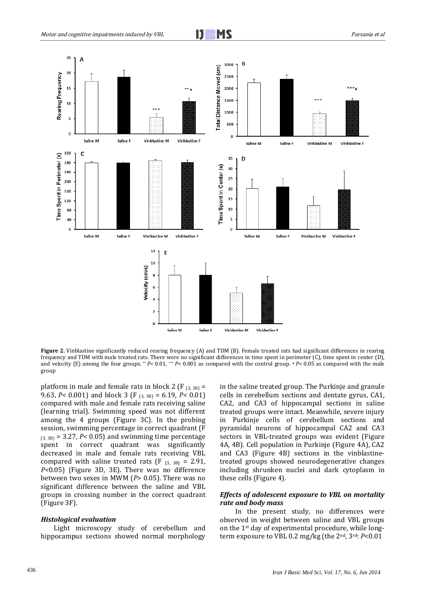



Figure 2. Vinblastine significantly reduced rearing frequency (A) and TDM (B). Female treated rats had significant differences in rearing frequency and TDM with male treated rats. There were no significant differences in time spent in perimeter (C), time spent in center (D), and velocity (E) among the four groups. \*\* *P<* 0.01, \*\*\* *P<* 0.001 as compared with the control group. \* *P<* 0.05 as compared with the male group

platform in male and female rats in block 2 (F  $_{(3,38)}$  = 9.63, *P<* 0.001) and block 3 (F (3, 38) = 6.19, *P<* 0.01) compared with male and female rats receiving saline (learning trial). Swimming speed was not different among the 4 groups (Figure 3C). In the probing session, swimming percentage in correct quadrant (F  $(3, 38)$  = 3.27, *P*< 0.05) and swimming time percentage spent in correct quadrant was significantly decreased in male and female rats receiving VBL compared with saline treated rats (F  $_{(3, 38)}$  = 2.91, *P<*0.05) (Figure 3D, 3E). There was no difference between two sexes in MWM (*P*> 0.05). There was no significant difference between the saline and VBL groups in crossing number in the correct quadrant (Figure 3F).

#### *Histological evaluation*

Light microscopy study of cerebellum and hippocampus sections showed normal morphology

in the saline treated group. The Purkinje and granule cells in cerebellum sections and dentate gyrus, CA1, CA2, and CA3 of hippocampal sections in saline treated groups were intact. Meanwhile, severe injury in Purkinje cells of cerebellum sections and pyramidal neurons of hippocampal CA2 and CA3 sectors in VBL-treated groups was evident (Figure 4A, 4B). Cell population in Purkinje (Figure 4A), CA2 and CA3 (Figure 4B) sections in the vinblastinetreated groups showed neurodegenerative changes including shrunken nuclei and dark cytoplasm in these cells (Figure 4).

## *Effects of adolescent exposure to VBL on mortality rate and body mass*

In the present study, no differences were observed in weight between saline and VBL groups on the 1st day of experimental procedure, while longterm exposure to VBL 0.2 mg/kg (the 2nd, 3rd: *P*<0.01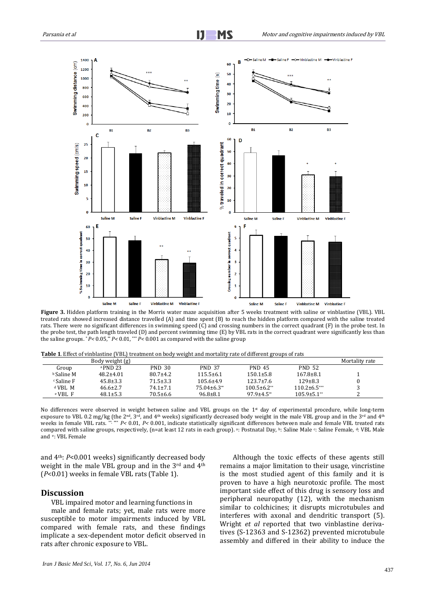

**Figure 3.** Hidden platform training in the Morris water maze acquisition after 5 weeks treatment with saline or vinblastine (VBL). VBL treated rats showed increased distance travelled (A) and time spent (B) to reach the hidden platform compared with the saline treated rats. There were no significant differences in swimming speed (C) and crossing numbers in the correct quadrant (F) in the probe test. In the probe test, the path length traveled (D) and percent swimming time (E) by VBL rats in the correct quadrant were significantly less than the saline groups. \* *P<* 0.05,\*\* *P<* 0.01, \*\*\* *P<* 0.001 as compared with the saline group

| Table 1. Effect of vinblastine (VBL) treatment on body weight and mortality rate of different groups of rats |  |  |  |  |  |
|--------------------------------------------------------------------------------------------------------------|--|--|--|--|--|
|                                                                                                              |  |  |  |  |  |

|                     | Body weight (g) |                |                  |                   |                               | Mortality rate |
|---------------------|-----------------|----------------|------------------|-------------------|-------------------------------|----------------|
| Group               | $a$ PND 23      | <b>PND 30</b>  | <b>PND 37</b>    | <b>PND 45</b>     | <b>PND 52</b>                 |                |
| <b>b</b> Saline M   | $48.2 \pm 4.01$ | $80.7 \pm 4.2$ | $115.5 \pm 6.1$  | $150.1 \pm 5.8$   | $167.8 \pm 8.1$               |                |
| $\epsilon$ Saline F | $45.8 \pm 3.3$  | $71.5 \pm 3.3$ | $105.6 \pm 4.9$  | $123.7 \pm 7.6$   | $129 \pm 8.3$                 |                |
| $d$ VBL M           | $46.6 \pm 2.7$  | $74.1 \pm 7.1$ | $75.04\pm 6.3**$ | $100.5\pm 6.2**$  | $110.2\pm 6.5***$             |                |
| $e$ VBL $F$         | $48.1 \pm 5.3$  | $70.5 \pm 6.6$ | $96.8 \pm 8.1$   | $97.9 \pm 4.5$ ** | $105.9 \pm 5.1$ <sup>**</sup> |                |

No differences were observed in weight between saline and VBL groups on the 1<sup>st</sup> day of experimental procedure, while long-term exposure to VBL 0.2 mg/kg (the 2<sup>nd</sup>, 3<sup>rd</sup>, and 4<sup>th</sup> weeks) significantly decreased body weight in the male VBL group and in the 3<sup>rd</sup> and 4<sup>th</sup> weeks in female VBL rats. \*\*, \*\*\* *P<* 0.01, *P<* 0.001, indicate statistically significant differences between male and female VBL treated rats compared with saline groups, respectively, (n=at least 12 rats in each group). <sup>a</sup>: Postnatal Day, <sup>b</sup>: Saline Male <sup>c</sup>: Saline Female, <sup>d</sup>: VBL Male and e: VBL Female

and 4th: *P*<0.001 weeks) significantly decreased body weight in the male VBL group and in the 3<sup>rd</sup> and 4<sup>th</sup> (*P*<0.01) weeks in female VBL rats (Table 1).

## **Discussion**

VBL impaired motor and learning functions in

male and female rats; yet, male rats were more susceptible to motor impairments induced by VBL compared with female rats, and these findings implicate a sex-dependent motor deficit observed in rats after chronic exposure to VBL.

Although the toxic effects of these agents still remains a major limitation to their usage, vincristine is the most studied agent of this family and it is proven to have a high neurotoxic profile. The most important side effect of this drug is sensory loss and peripheral neuropathy (12), with the mechanism similar to colchicines; it disrupts microtubules and interferes with axonal and dendritic transport (5). [Wright](http://www.ncbi.nlm.nih.gov/pubmed?term=Wright%20M%5BAuthor%5D&cauthor=true&cauthor_uid=1934248) *et al* reported that two vinblastine derivatives (S-12363 and S-12362) prevented microtubule assembly and differed in their ability to induce the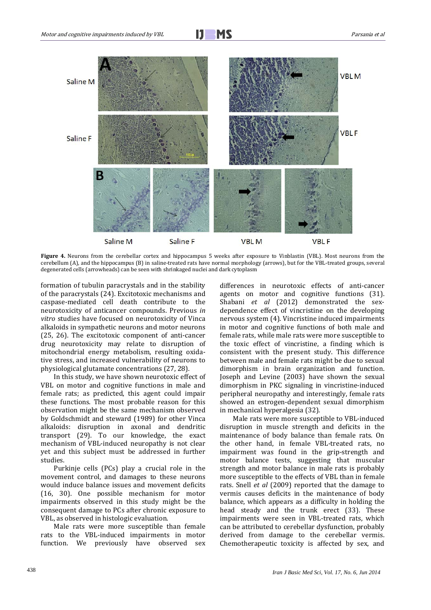

**Figure 4.** Neurons from the cerebellar cortex and hippocampus 5 weeks after exposure to Vinblastin (VBL). Most neurons from the cerebellum (A), and the hippocampus (B) in saline-treated rats have normal morphology (arrows), but for the VBL-treated groups, several degenerated cells (arrowheads) can be seen with shrinkaged nuclei and dark cytoplasm

formation of tubulin paracrystals and in the stability of the paracrystals (24). Excitotoxic mechanisms and caspase-mediated cell death contribute to the neurotoxicity of anticancer compounds. Previous *in vitro* studies have focused on neurotoxicity of Vinca alkaloids in sympathetic neurons and motor neurons (25, 26). The excitotoxic component of anti-cancer drug neurotoxicity may relate to disruption of mitochondrial energy metabolism, resulting oxidative stress, and increased vulnerability of neurons to physiological glutamate concentrations (27, 28).

In this study, we have shown neurotoxic effect of VBL on motor and cognitive functions in male and female rats; as predicted, this agent could impair these functions. The most probable reason for this observation might be the same mechanism observed by Goldschmidt and steward (1989) for other Vinca alkaloids: disruption in axonal and dendritic transport (29). To our knowledge, the exact mechanism of VBL-induced neuropathy is not clear yet and this subject must be addressed in further studies.

Purkinje cells (PCs) play a crucial role in the movement control, and damages to these neurons would induce balance issues and movement deficits (16, 30). One possible mechanism for motor impairments observed in this study might be the consequent damage to PCs after chronic exposure to VBL, as observed in histologic evaluation.

Male rats were more susceptible than female rats to the VBL-induced impairments in motor function. We previously have observed sex differences in neurotoxic effects of anti-cancer agents on motor and cognitive functions (31). Shabani *et al* (2012) demonstrated the sexdependence effect of vincristine on the developing nervous system (4). Vincristine induced impairments in motor and cognitive functions of both male and female rats, while male rats were more susceptible to the toxic effect of vincristine, a finding which is consistent with the present study. This difference between male and female rats might be due to sexual dimorphism in brain organization and function. Joseph and Levine (2003) have shown the sexual dimorphism in PKC signaling in vincristine-induced peripheral neuropathy and interestingly, female rats showed an estrogen-dependent sexual dimorphism in mechanical hyperalgesia (32).

Male rats were more susceptible to VBL-induced disruption in muscle strength and deficits in the maintenance of body balance than female rats. On the other hand, in female VBL-treated rats, no impairment was found in the grip-strength and motor balance tests, suggesting that muscular strength and motor balance in male rats is probably more susceptible to the effects of VBL than in female rats. Snell *et al* (2009) reported that the damage to vermis causes deficits in the maintenance of body balance, which appears as a difficulty in holding the head steady and the trunk erect (33). These impairments were seen in VBL-treated rats, which can be attributed to cerebellar dysfunction, probably derived from damage to the cerebellar vermis. Chemotherapeutic toxicity is affected by sex, and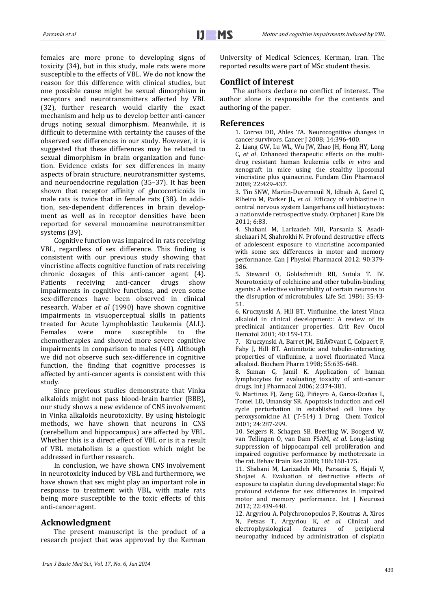females are more prone to developing signs of toxicity (34), but in this study, male rats were more susceptible to the effects of VBL. We do not know the reason for this difference with clinical studies, but one possible cause might be sexual dimorphism in receptors and neurotransmitters affected by VBL (32), further research would clarify the exact mechanism and help us to develop better anti-cancer drugs noting sexual dimorphism. Meanwhile, it is difficult to determine with certainty the causes of the observed sex differences in our study. However, it is suggested that these differences may be related to sexual dimorphism in brain organization and function. Evidence exists for sex differences in many aspects of brain structure, neurotransmitter systems, and neuroendocrine regulation (35–37). It has been shown that receptor affinity of glucocorticoids in male rats is twice that in female rats (38). In addition, sex-dependent differences in brain development as well as in receptor densities have been reported for several monoamine neurotransmitter systems (39).

Cognitive function was impaired in rats receiving VBL, regardless of sex difference. This finding is consistent with our previous study showing that vincristine affects cognitive function of rats receiving chronic dosages of this anti-cancer agent (4).<br>Patients receiving anti-cancer drugs show Patients receiving anti-cancer drugs show impairments in cognitive functions, and even some sex-differences have been observed in clinical research. Waber *et al* (1990) have shown cognitive impairments in visuoperceptual skills in patients treated for Acute Lymphoblastic Leukemia (ALL). Females were more susceptible to the chemotherapies and showed more severe cognitive impairments in comparison to males (40). Although we did not observe such sex-difference in cognitive function, the finding that cognitive processes is affected by anti-cancer agents is consistent with this study.

Since previous studies demonstrate that Vinka alkaloids might not pass blood-brain barrier (BBB), our study shows a new evidence of CNS involvement in Vinka alkaloids neurotoxicity. By using histologic methods, we have shown that neurons in CNS (cerebellum and hippocampus) are affected by VBL. Whether this is a direct effect of VBL or is it a result of VBL metabolism is a question which might be addressed in further research.

In conclusion, we have shown CNS involvement in neurotoxicity induced by VBL and furthermore, we have shown that sex might play an important role in response to treatment with VBL, with male rats being more susceptible to the toxic effects of this anti-cancer agent.

## **Acknowledgment**

The present manuscript is the product of a research project that was approved by the Kerman University of Medical Sciences, Kerman, Iran. The reported results were part of MSc student thesis.

# **Conflict of interest**

The authors declare no conflict of interest. The author alone is responsible for the contents and authoring of the paper.

## **References**

1. Correa DD, Ahles TA. Neurocognitive changes in cancer survivors. Cancer J 2008; 14:396-400.

2. Liang GW, Lu WL, Wu JW, Zhao JH, Hong HY, Long C, *et al*. Enhanced therapeutic effects on the multidrug resistant human leukemia cells *in vitro* and xenograft in mice using the stealthy liposomal vincristine plus quinacrine. Fundam Clin Pharmacol 2008; 22:429-437.

3. Tin SNW, Martin-Duverneuil N, Idbaih A, Garel C, Ribeiro M, Parker JL, *et al*. Efficacy of vinblastine in central nervous system Langerhans cell histiocytosis: a nationwide retrospective study. Orphanet J Rare Dis 2011; 6:83.

4. Shabani M, Larizadeh MH, Parsania S, Asadishekaari M, Shahrokhi N. Profound destructive effects of adolescent exposure to vincristine accompanied with some sex differences in motor and memory performance. Can J Physiol Pharmacol 2012; 90:379- 386.

5. Steward O, Goldschmidt RB, Sutula T. IV. Neurotoxicity of colchicine and other tubulin-binding agents: A selective vulnerability of certain neurons to the disruption of microtubules. Life Sci 1984; 35:43- 51.

6. Kruczynski A, Hill BT. Vinflunine, the latest Vinca alkaloid in clinical development:: A review of its preclinical anticancer properties. Crit Rev Oncol Hematol 2001; 40:159-173.

7. Kruczynski A, Barret JM, Eti $\tilde{A}$ ©vant C, Colpaert F, Fahy J, Hill BT. Antimitotic and tubulin-interacting properties of vinflunine, a novel fluorinated Vinca alkaloid. Biochem Pharm 1998; 55:635-648.

8. Suman G, Jamil K. Application of human lymphocytes for evaluating toxicity of anti-cancer drugs. Int J Pharmacol 2006; 2:374-381.

9. Martinez FJ, Zeng GQ, Piñeyro A, Garza-Ocañas L, Tomei LD, Umansky SR. Apoptosis induction and cell cycle perturbation in established cell lines by peroxysomicine A1 (T-514) 1 Drug Chem Toxicol 2001; 24:287-299.

10. Seigers R, Schagen SB, Beerling W, Boogerd W, van Tellingen O, van Dam FSAM, *et al.* Long-lasting suppression of hippocampal cell proliferation and impaired cognitive performance by methotrexate in the rat. Behav Brain Res 2008; 186:168-175.

11. Shabani M, Larizadeh Mh, Parsania S, Hajali V, Shojaei A. Evaluation of destructive effects of exposure to cisplatin during developmental stage: No profound evidence for sex differences in impaired motor and memory performance. Int J Neurosci 2012; 22:439-448.

12. Argyriou A, Polychronopoulos P, Koutras A, Xiros N, Petsas T, Argyriou K, *et al.* Clinical and electrophysiological neuropathy induced by administration of cisplatin